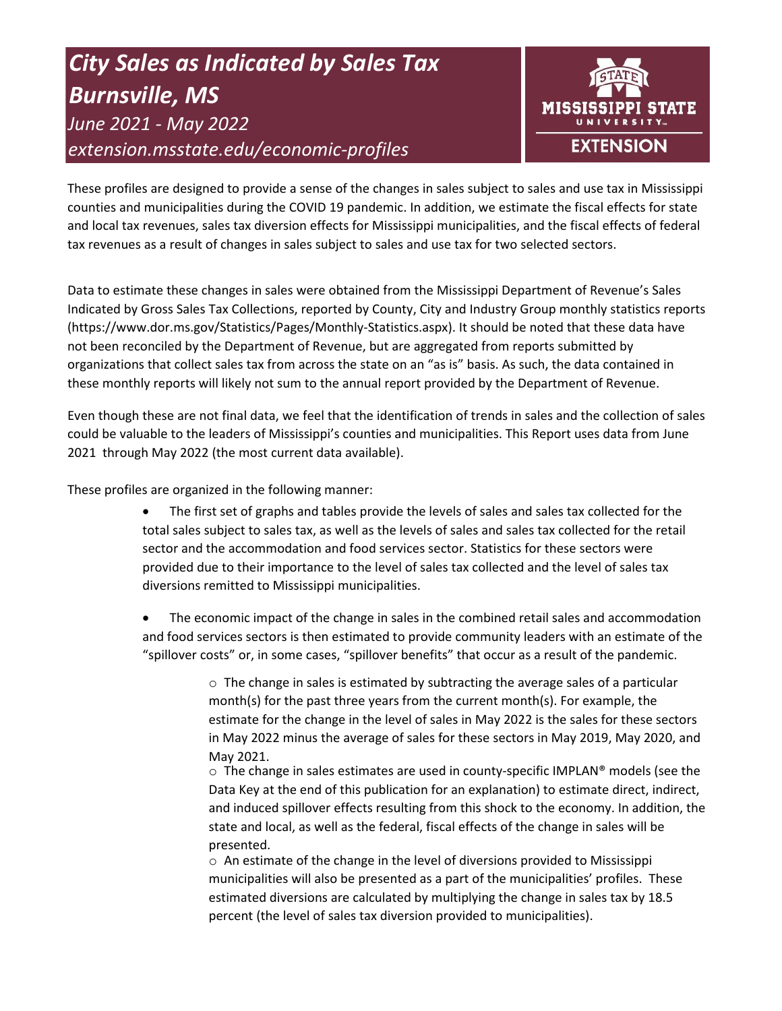# *City Sales as Indicated by Sales Tax Burnsville, MS June 2021 - May 2022 extension.msstate.edu/economic-profiles*



These profiles are designed to provide a sense of the changes in sales subject to sales and use tax in Mississippi counties and municipalities during the COVID 19 pandemic. In addition, we estimate the fiscal effects for state and local tax revenues, sales tax diversion effects for Mississippi municipalities, and the fiscal effects of federal tax revenues as a result of changes in sales subject to sales and use tax for two selected sectors.

Data to estimate these changes in sales were obtained from the Mississippi Department of Revenue's Sales Indicated by Gross Sales Tax Collections, reported by County, City and Industry Group monthly statistics reports (https://www.dor.ms.gov/Statistics/Pages/Monthly-Statistics.aspx). It should be noted that these data have not been reconciled by the Department of Revenue, but are aggregated from reports submitted by organizations that collect sales tax from across the state on an "as is" basis. As such, the data contained in these monthly reports will likely not sum to the annual report provided by the Department of Revenue.

Even though these are not final data, we feel that the identification of trends in sales and the collection of sales could be valuable to the leaders of Mississippi's counties and municipalities. This Report uses data from June 2021 through May 2022 (the most current data available).

These profiles are organized in the following manner:

- The first set of graphs and tables provide the levels of sales and sales tax collected for the total sales subject to sales tax, as well as the levels of sales and sales tax collected for the retail sector and the accommodation and food services sector. Statistics for these sectors were provided due to their importance to the level of sales tax collected and the level of sales tax diversions remitted to Mississippi municipalities.
- The economic impact of the change in sales in the combined retail sales and accommodation and food services sectors is then estimated to provide community leaders with an estimate of the "spillover costs" or, in some cases, "spillover benefits" that occur as a result of the pandemic.

 $\circ$  The change in sales is estimated by subtracting the average sales of a particular month(s) for the past three years from the current month(s). For example, the estimate for the change in the level of sales in May 2022 is the sales for these sectors in May 2022 minus the average of sales for these sectors in May 2019, May 2020, and May 2021.

 $\circ$  The change in sales estimates are used in county-specific IMPLAN® models (see the Data Key at the end of this publication for an explanation) to estimate direct, indirect, and induced spillover effects resulting from this shock to the economy. In addition, the state and local, as well as the federal, fiscal effects of the change in sales will be presented.

 $\circ$  An estimate of the change in the level of diversions provided to Mississippi municipalities will also be presented as a part of the municipalities' profiles. These estimated diversions are calculated by multiplying the change in sales tax by 18.5 percent (the level of sales tax diversion provided to municipalities).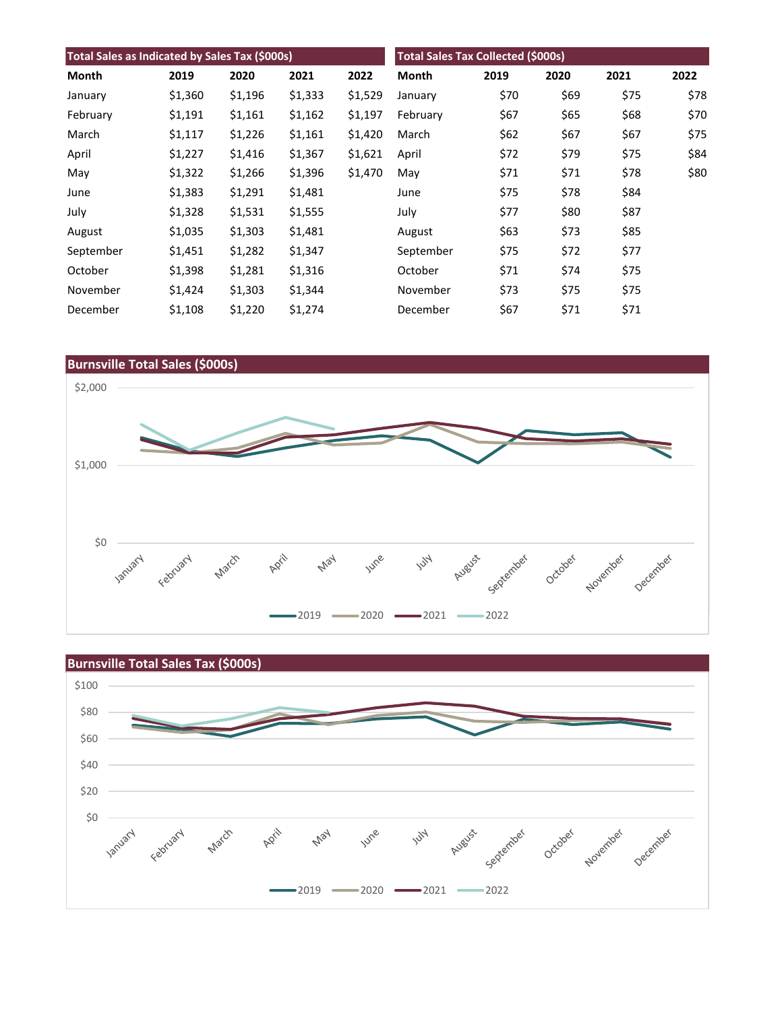| Total Sales as Indicated by Sales Tax (\$000s) |         |         |         | <b>Total Sales Tax Collected (\$000s)</b> |           |      |      |      |      |
|------------------------------------------------|---------|---------|---------|-------------------------------------------|-----------|------|------|------|------|
| Month                                          | 2019    | 2020    | 2021    | 2022                                      | Month     | 2019 | 2020 | 2021 | 2022 |
| January                                        | \$1,360 | \$1,196 | \$1,333 | \$1,529                                   | January   | \$70 | \$69 | \$75 | \$78 |
| February                                       | \$1,191 | \$1,161 | \$1,162 | \$1,197                                   | February  | \$67 | \$65 | \$68 | \$70 |
| March                                          | \$1,117 | \$1,226 | \$1,161 | \$1,420                                   | March     | \$62 | \$67 | \$67 | \$75 |
| April                                          | \$1,227 | \$1,416 | \$1,367 | \$1,621                                   | April     | \$72 | \$79 | \$75 | \$84 |
| May                                            | \$1,322 | \$1,266 | \$1,396 | \$1,470                                   | May       | \$71 | \$71 | \$78 | \$80 |
| June                                           | \$1,383 | \$1,291 | \$1,481 |                                           | June      | \$75 | \$78 | \$84 |      |
| July                                           | \$1,328 | \$1,531 | \$1,555 |                                           | July      | \$77 | \$80 | \$87 |      |
| August                                         | \$1,035 | \$1,303 | \$1,481 |                                           | August    | \$63 | \$73 | \$85 |      |
| September                                      | \$1,451 | \$1,282 | \$1,347 |                                           | September | \$75 | \$72 | \$77 |      |
| October                                        | \$1,398 | \$1,281 | \$1,316 |                                           | October   | \$71 | \$74 | \$75 |      |
| November                                       | \$1,424 | \$1,303 | \$1,344 |                                           | November  | \$73 | \$75 | \$75 |      |
| December                                       | \$1,108 | \$1,220 | \$1,274 |                                           | December  | \$67 | \$71 | \$71 |      |



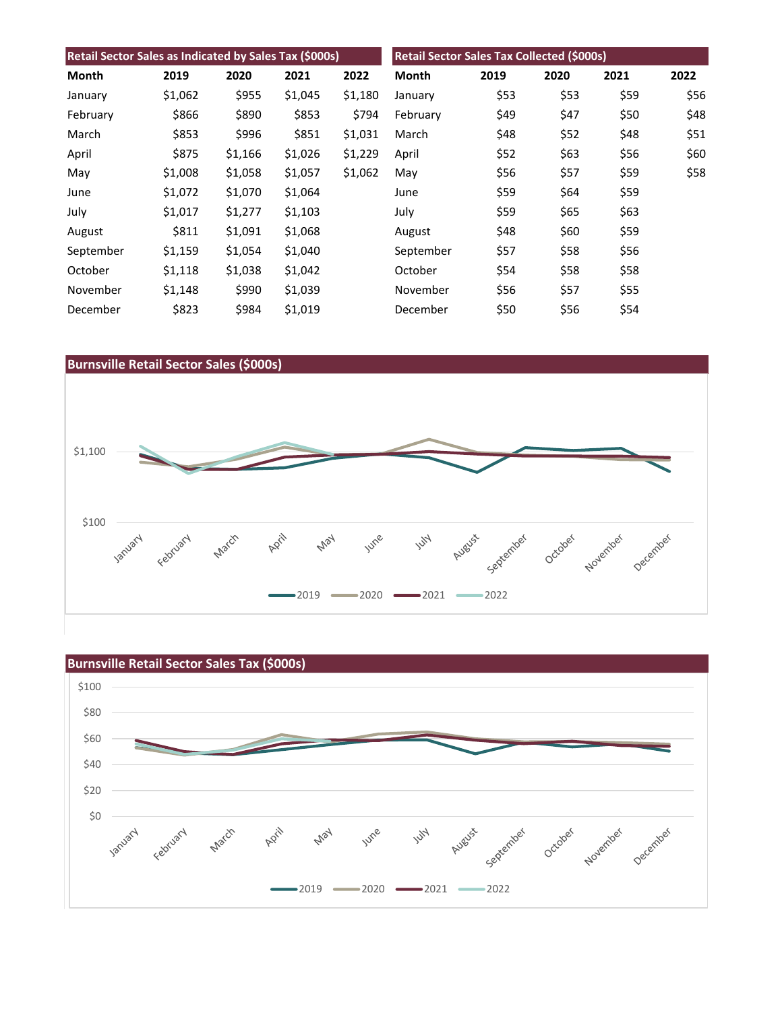| Retail Sector Sales as Indicated by Sales Tax (\$000s) |         |         |         |         | Retail Sector Sales Tax Collected (\$000s) |      |      |      |      |
|--------------------------------------------------------|---------|---------|---------|---------|--------------------------------------------|------|------|------|------|
| Month                                                  | 2019    | 2020    | 2021    | 2022    | Month                                      | 2019 | 2020 | 2021 | 2022 |
| January                                                | \$1,062 | \$955   | \$1,045 | \$1,180 | January                                    | \$53 | \$53 | \$59 | \$56 |
| February                                               | \$866   | \$890   | \$853   | \$794   | February                                   | \$49 | \$47 | \$50 | \$48 |
| March                                                  | \$853   | \$996   | \$851   | \$1,031 | March                                      | \$48 | \$52 | \$48 | \$51 |
| April                                                  | \$875   | \$1,166 | \$1,026 | \$1,229 | April                                      | \$52 | \$63 | \$56 | \$60 |
| May                                                    | \$1,008 | \$1,058 | \$1,057 | \$1,062 | May                                        | \$56 | \$57 | \$59 | \$58 |
| June                                                   | \$1,072 | \$1,070 | \$1,064 |         | June                                       | \$59 | \$64 | \$59 |      |
| July                                                   | \$1,017 | \$1,277 | \$1,103 |         | July                                       | \$59 | \$65 | \$63 |      |
| August                                                 | \$811   | \$1,091 | \$1,068 |         | August                                     | \$48 | \$60 | \$59 |      |
| September                                              | \$1,159 | \$1,054 | \$1,040 |         | September                                  | \$57 | \$58 | \$56 |      |
| October                                                | \$1,118 | \$1,038 | \$1,042 |         | October                                    | \$54 | \$58 | \$58 |      |
| November                                               | \$1,148 | \$990   | \$1,039 |         | November                                   | \$56 | \$57 | \$55 |      |
| December                                               | \$823   | \$984   | \$1,019 |         | December                                   | \$50 | \$56 | \$54 |      |



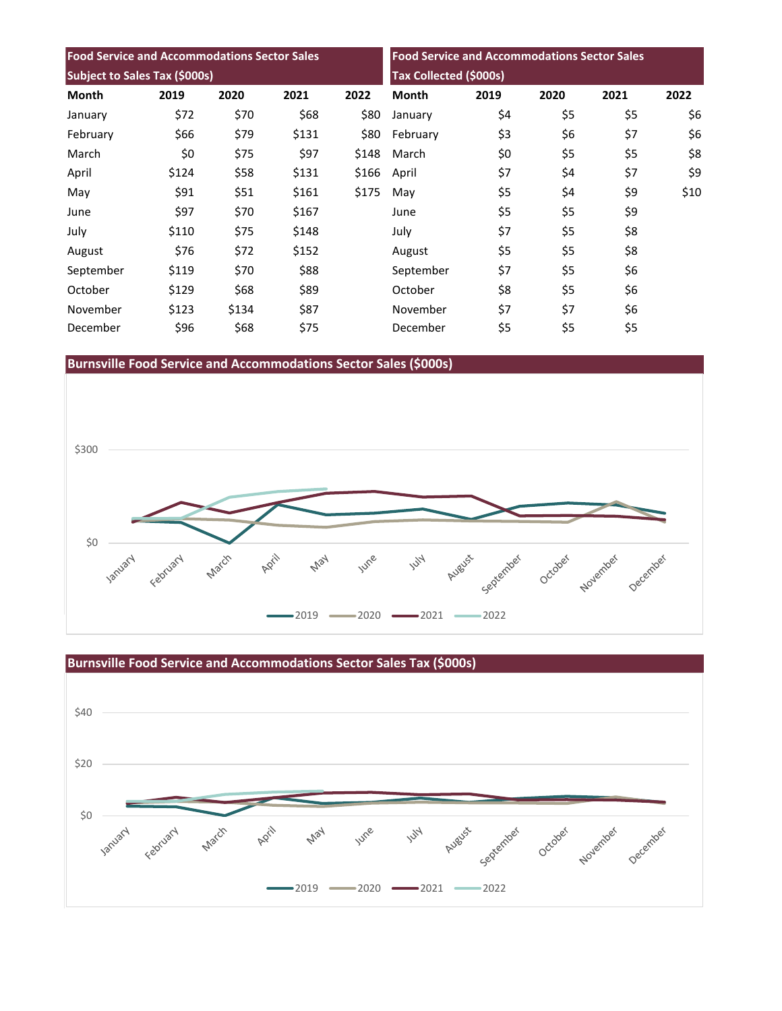| <b>Food Service and Accommodations Sector Sales</b><br><b>Subject to Sales Tax (\$000s)</b> |       |       |       |       | <b>Food Service and Accommodations Sector Sales</b><br>Tax Collected (\$000s) |     |     |     |      |
|---------------------------------------------------------------------------------------------|-------|-------|-------|-------|-------------------------------------------------------------------------------|-----|-----|-----|------|
|                                                                                             |       |       |       |       |                                                                               |     |     |     |      |
| January                                                                                     | \$72  | \$70  | \$68  | \$80  | January                                                                       | \$4 | \$5 | \$5 | \$6  |
| February                                                                                    | \$66  | \$79  | \$131 | \$80  | February                                                                      | \$3 | \$6 | \$7 | \$6  |
| March                                                                                       | \$0   | \$75  | \$97  | \$148 | March                                                                         | \$0 | \$5 | \$5 | \$8  |
| April                                                                                       | \$124 | \$58  | \$131 | \$166 | April                                                                         | \$7 | \$4 | \$7 | \$9  |
| May                                                                                         | \$91  | \$51  | \$161 | \$175 | May                                                                           | \$5 | \$4 | \$9 | \$10 |
| June                                                                                        | \$97  | \$70  | \$167 |       | June                                                                          | \$5 | \$5 | \$9 |      |
| July                                                                                        | \$110 | \$75  | \$148 |       | July                                                                          | \$7 | \$5 | \$8 |      |
| August                                                                                      | \$76  | \$72  | \$152 |       | August                                                                        | \$5 | \$5 | \$8 |      |
| September                                                                                   | \$119 | \$70  | \$88  |       | September                                                                     | \$7 | \$5 | \$6 |      |
| October                                                                                     | \$129 | \$68  | \$89  |       | October                                                                       | \$8 | \$5 | \$6 |      |
| November                                                                                    | \$123 | \$134 | \$87  |       | November                                                                      | \$7 | \$7 | \$6 |      |
| December                                                                                    | \$96  | \$68  | \$75  |       | December                                                                      | \$5 | \$5 | \$5 |      |

**Burnsville Food Service and Accommodations Sector Sales (\$000s)**





**Burnsville Food Service and Accommodations Sector Sales Tax (\$000s)**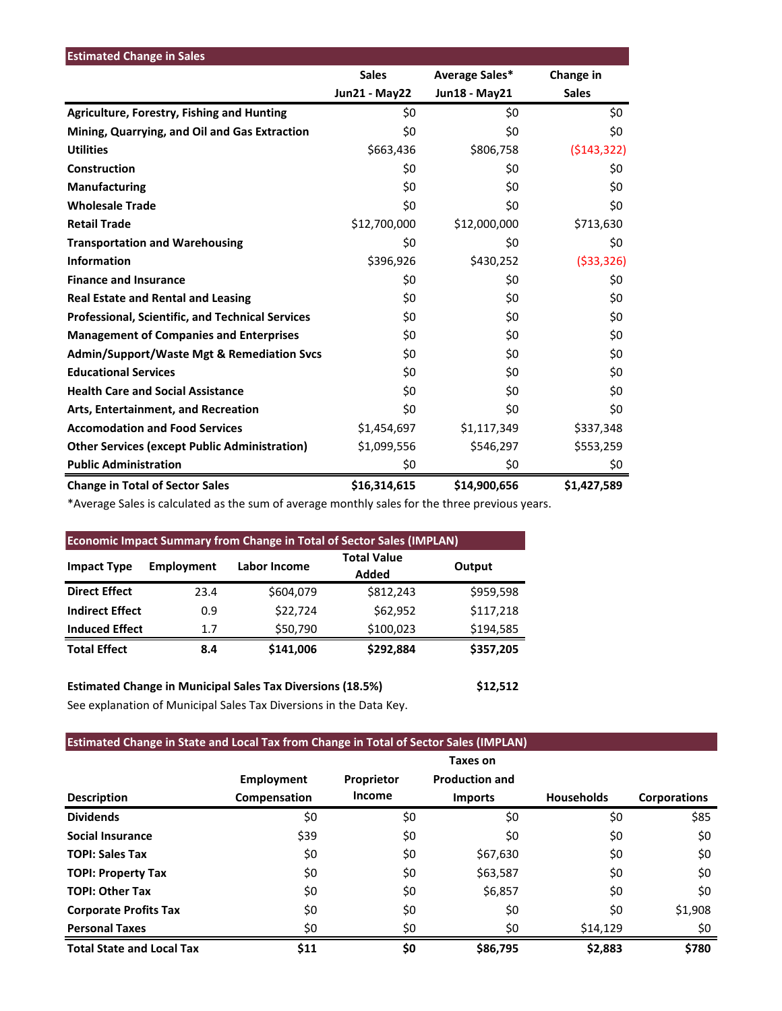| <b>Estimated Change in Sales</b>                        |                      |                |              |
|---------------------------------------------------------|----------------------|----------------|--------------|
|                                                         | <b>Sales</b>         | Average Sales* | Change in    |
|                                                         | <b>Jun21 - May22</b> | Jun18 - May21  | <b>Sales</b> |
| <b>Agriculture, Forestry, Fishing and Hunting</b>       | \$0                  | \$0            | \$0          |
| Mining, Quarrying, and Oil and Gas Extraction           | \$0                  | \$0            | \$0          |
| <b>Utilities</b>                                        | \$663,436            | \$806,758      | (5143, 322)  |
| Construction                                            | \$0                  | \$0            | \$0          |
| <b>Manufacturing</b>                                    | \$0                  | \$0            | \$0          |
| <b>Wholesale Trade</b>                                  | \$0                  | \$0            | \$0          |
| <b>Retail Trade</b>                                     | \$12,700,000         | \$12,000,000   | \$713,630    |
| <b>Transportation and Warehousing</b>                   | \$0                  | \$0            | \$0          |
| <b>Information</b>                                      | \$396,926            | \$430,252      | ( \$33, 326) |
| <b>Finance and Insurance</b>                            | \$0                  | \$0            | \$0          |
| <b>Real Estate and Rental and Leasing</b>               | \$0                  | \$0            | \$0          |
| <b>Professional, Scientific, and Technical Services</b> | \$0                  | \$0            | \$0          |
| <b>Management of Companies and Enterprises</b>          | \$0                  | \$0            | \$0          |
| <b>Admin/Support/Waste Mgt &amp; Remediation Svcs</b>   | \$0                  | \$0            | \$0          |
| <b>Educational Services</b>                             | \$0                  | \$0            | \$0          |
| <b>Health Care and Social Assistance</b>                | \$0                  | \$0            | \$0          |
| Arts, Entertainment, and Recreation                     | \$0                  | \$0            | \$0          |
| <b>Accomodation and Food Services</b>                   | \$1,454,697          | \$1,117,349    | \$337,348    |
| <b>Other Services (except Public Administration)</b>    | \$1,099,556          | \$546,297      | \$553,259    |
| <b>Public Administration</b>                            | \$0                  | \$0            | \$0          |
| <b>Change in Total of Sector Sales</b>                  | \$16,314,615         | \$14,900,656   | \$1,427,589  |

\*Average Sales is calculated as the sum of average monthly sales for the three previous years.

| <b>Economic Impact Summary from Change in Total of Sector Sales (IMPLAN)</b>  |            |              |                             |           |  |  |  |  |
|-------------------------------------------------------------------------------|------------|--------------|-----------------------------|-----------|--|--|--|--|
| <b>Impact Type</b>                                                            | Employment | Labor Income | <b>Total Value</b><br>Added | Output    |  |  |  |  |
| <b>Direct Effect</b>                                                          | 23.4       | \$604,079    | \$812,243                   | \$959,598 |  |  |  |  |
| <b>Indirect Effect</b>                                                        | 0.9        | \$22,724     | \$62,952                    | \$117,218 |  |  |  |  |
| <b>Induced Effect</b>                                                         | 1.7        | \$50,790     | \$100,023                   | \$194,585 |  |  |  |  |
| <b>Total Effect</b>                                                           | 8.4        | \$141.006    | \$292,884                   | \$357,205 |  |  |  |  |
| <b>Estimated Change in Municipal Sales Tax Diversions (18.5%)</b><br>\$12,512 |            |              |                             |           |  |  |  |  |

See explanation of Municipal Sales Tax Diversions in the Data Key.

## **Estimated Change in State and Local Tax from Change in Total of Sector Sales (IMPLAN)**

|                                  | <b>Employment</b> | Proprietor | Taxes on<br><b>Production and</b> |                   |                     |
|----------------------------------|-------------------|------------|-----------------------------------|-------------------|---------------------|
| <b>Description</b>               | Compensation      | Income     | <b>Imports</b>                    | <b>Households</b> | <b>Corporations</b> |
| <b>Dividends</b>                 | \$0               | \$0        | \$0                               | \$0               | \$85                |
| <b>Social Insurance</b>          | \$39              | \$0        | \$0                               | \$0               | \$0                 |
| <b>TOPI: Sales Tax</b>           | \$0               | \$0        | \$67,630                          | \$0               | \$0                 |
| <b>TOPI: Property Tax</b>        | \$0               | \$0        | \$63,587                          | \$0               | \$0                 |
| <b>TOPI: Other Tax</b>           | \$0               | \$0        | \$6,857                           | \$0               | \$0                 |
| <b>Corporate Profits Tax</b>     | \$0               | \$0        | \$0                               | \$0               | \$1,908             |
| <b>Personal Taxes</b>            | \$0               | \$0        | \$0                               | \$14,129          | \$0                 |
| <b>Total State and Local Tax</b> | \$11              | \$0        | \$86,795                          | \$2,883           | \$780               |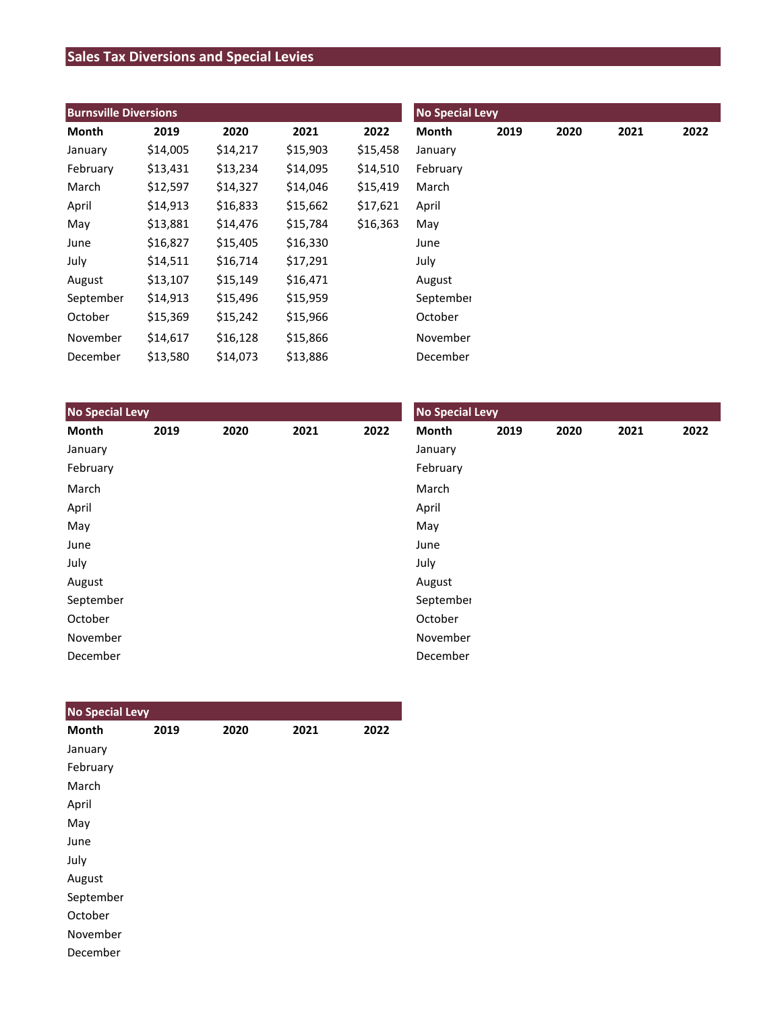## **Sales Tax Diversions and Special Levies**

| <b>Burnsville Diversions</b> |          |          |          |          | <b>No Special Levy</b> |      |      |      |      |  |
|------------------------------|----------|----------|----------|----------|------------------------|------|------|------|------|--|
| Month                        | 2019     | 2020     | 2021     | 2022     | Month                  | 2019 | 2020 | 2021 | 2022 |  |
| January                      | \$14,005 | \$14,217 | \$15,903 | \$15,458 | January                |      |      |      |      |  |
| February                     | \$13,431 | \$13,234 | \$14,095 | \$14,510 | February               |      |      |      |      |  |
| March                        | \$12,597 | \$14,327 | \$14,046 | \$15,419 | March                  |      |      |      |      |  |
| April                        | \$14,913 | \$16,833 | \$15,662 | \$17,621 | April                  |      |      |      |      |  |
| May                          | \$13,881 | \$14,476 | \$15,784 | \$16,363 | May                    |      |      |      |      |  |
| June                         | \$16,827 | \$15,405 | \$16,330 |          | June                   |      |      |      |      |  |
| July                         | \$14,511 | \$16,714 | \$17,291 |          | July                   |      |      |      |      |  |
| August                       | \$13,107 | \$15,149 | \$16,471 |          | August                 |      |      |      |      |  |
| September                    | \$14,913 | \$15,496 | \$15,959 |          | September              |      |      |      |      |  |
| October                      | \$15,369 | \$15,242 | \$15,966 |          | October                |      |      |      |      |  |
| November                     | \$14,617 | \$16,128 | \$15,866 |          | November               |      |      |      |      |  |
| December                     | \$13,580 | \$14,073 | \$13,886 |          | December               |      |      |      |      |  |

| <b>No Special Levy</b> |      |      |      |      | <b>No Special Levy</b> |      |      |      |      |  |
|------------------------|------|------|------|------|------------------------|------|------|------|------|--|
| Month                  | 2019 | 2020 | 2021 | 2022 | Month                  | 2019 | 2020 | 2021 | 2022 |  |
| January                |      |      |      |      | January                |      |      |      |      |  |
| February               |      |      |      |      | February               |      |      |      |      |  |
| March                  |      |      |      |      | March                  |      |      |      |      |  |
| April                  |      |      |      |      | April                  |      |      |      |      |  |
| May                    |      |      |      |      | May                    |      |      |      |      |  |
| June                   |      |      |      |      | June                   |      |      |      |      |  |
| July                   |      |      |      |      | July                   |      |      |      |      |  |
| August                 |      |      |      |      | August                 |      |      |      |      |  |
| September              |      |      |      |      | September              |      |      |      |      |  |
| October                |      |      |      |      | October                |      |      |      |      |  |
| November               |      |      |      |      | November               |      |      |      |      |  |
| December               |      |      |      |      | December               |      |      |      |      |  |

| <b>No Special Levy</b> |      |      |      |      |
|------------------------|------|------|------|------|
| <b>Month</b>           | 2019 | 2020 | 2021 | 2022 |
| January                |      |      |      |      |
| February               |      |      |      |      |
| March                  |      |      |      |      |
| April                  |      |      |      |      |
| May                    |      |      |      |      |
| June                   |      |      |      |      |
| July                   |      |      |      |      |
| August                 |      |      |      |      |
| September              |      |      |      |      |
| October                |      |      |      |      |
| November               |      |      |      |      |
| December               |      |      |      |      |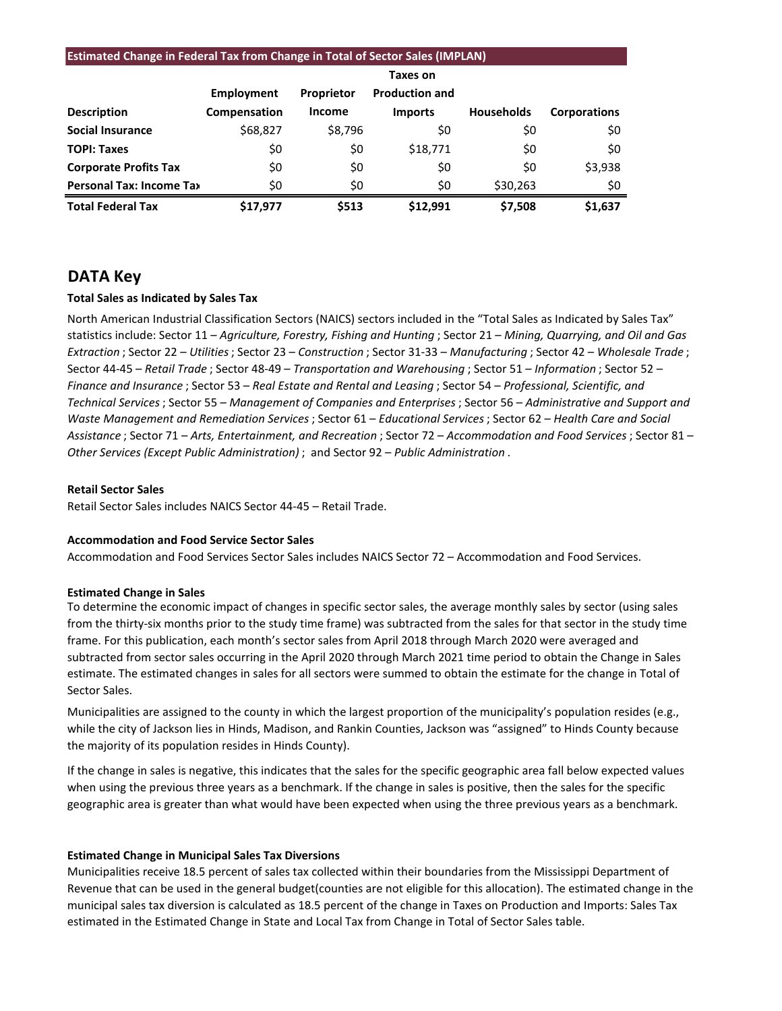## **Estimated Change in Federal Tax from Change in Total of Sector Sales (IMPLAN) Taxes on Employment Proprietor Production and Description Compensation Income Imports Households Corporations Social Insurance**  $\begin{array}{ccc} 568,827 & 58,796 & 50 \end{array}$  \$0 \$0 \$0

| Total Federal Tax        | \$17.977 | \$513 | \$12.991 | \$7.508  | \$1.637 |
|--------------------------|----------|-------|----------|----------|---------|
| Personal Tax: Income Tax | S0       | S0    | S0       | \$30.263 | \$0     |
| Corporate Profits Tax    | S0       | S0    | S0       | S0       | \$3,938 |
| <b>TOPI: Taxes</b>       | \$0      | S0    | \$18.771 | \$0      | S0      |

## **DATA Key**

### **Total Sales as Indicated by Sales Tax**

North American Industrial Classification Sectors (NAICS) sectors included in the "Total Sales as Indicated by Sales Tax" statistics include: Sector 11 – *Agriculture, Forestry, Fishing and Hunting* ; Sector 21 – *Mining, Quarrying, and Oil and Gas Extraction* ; Sector 22 – *Utilities*; Sector 23 – *Construction* ; Sector 31-33 – *Manufacturing* ; Sector 42 – *Wholesale Trade* ; Sector 44-45 – *Retail Trade* ; Sector 48-49 – *Transportation and Warehousing* ; Sector 51 – *Information* ; Sector 52 – *Finance and Insurance* ; Sector 53 – *Real Estate and Rental and Leasing* ; Sector 54 – *Professional, Scientific, and Technical Services*; Sector 55 – *Management of Companies and Enterprises* ; Sector 56 – *Administrative and Support and Waste Management and Remediation Services* ; Sector 61 – *Educational Services*; Sector 62 – *Health Care and Social Assistance* ; Sector 71 – *Arts, Entertainment, and Recreation* ; Sector 72 – *Accommodation and Food Services* ; Sector 81 – *Other Services (Except Public Administration)* ; and Sector 92 – *Public Administration* .

#### **Retail Sector Sales**

Retail Sector Sales includes NAICS Sector 44-45 – Retail Trade.

#### **Accommodation and Food Service Sector Sales**

Accommodation and Food Services Sector Sales includes NAICS Sector 72 – Accommodation and Food Services.

#### **Estimated Change in Sales**

To determine the economic impact of changes in specific sector sales, the average monthly sales by sector (using sales from the thirty-six months prior to the study time frame) was subtracted from the sales for that sector in the study time frame. For this publication, each month's sector sales from April 2018 through March 2020 were averaged and subtracted from sector sales occurring in the April 2020 through March 2021 time period to obtain the Change in Sales estimate. The estimated changes in sales for all sectors were summed to obtain the estimate for the change in Total of Sector Sales.

Municipalities are assigned to the county in which the largest proportion of the municipality's population resides (e.g., while the city of Jackson lies in Hinds, Madison, and Rankin Counties, Jackson was "assigned" to Hinds County because the majority of its population resides in Hinds County).

If the change in sales is negative, this indicates that the sales for the specific geographic area fall below expected values when using the previous three years as a benchmark. If the change in sales is positive, then the sales for the specific geographic area is greater than what would have been expected when using the three previous years as a benchmark.

#### **Estimated Change in Municipal Sales Tax Diversions**

Municipalities receive 18.5 percent of sales tax collected within their boundaries from the Mississippi Department of Revenue that can be used in the general budget(counties are not eligible for this allocation). The estimated change in the municipal sales tax diversion is calculated as 18.5 percent of the change in Taxes on Production and Imports: Sales Tax estimated in the Estimated Change in State and Local Tax from Change in Total of Sector Sales table.